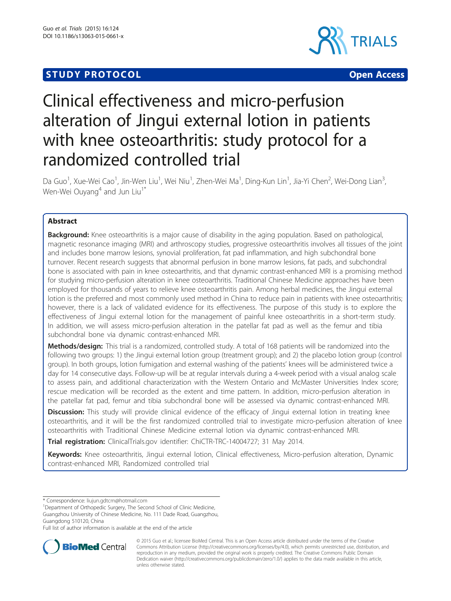## **STUDY PROTOCOL CONSUMING THE CONSUMING OPEN ACCESS**



# Clinical effectiveness and micro-perfusion alteration of Jingui external lotion in patients with knee osteoarthritis: study protocol for a randomized controlled trial

Da Guo<sup>1</sup>, Xue-Wei Cao<sup>1</sup>, Jin-Wen Liu<sup>1</sup>, Wei Niu<sup>1</sup>, Zhen-Wei Ma<sup>1</sup>, Ding-Kun Lin<sup>1</sup>, Jia-Yi Chen<sup>2</sup>, Wei-Dong Lian<sup>3</sup> , Wen-Wei Ouyang<sup>4</sup> and Jun Liu<sup>1\*</sup>

## Abstract

Background: Knee osteoarthritis is a major cause of disability in the aging population. Based on pathological, magnetic resonance imaging (MRI) and arthroscopy studies, progressive osteoarthritis involves all tissues of the joint and includes bone marrow lesions, synovial proliferation, fat pad inflammation, and high subchondral bone turnover. Recent research suggests that abnormal perfusion in bone marrow lesions, fat pads, and subchondral bone is associated with pain in knee osteoarthritis, and that dynamic contrast-enhanced MRI is a promising method for studying micro-perfusion alteration in knee osteoarthritis. Traditional Chinese Medicine approaches have been employed for thousands of years to relieve knee osteoarthritis pain. Among herbal medicines, the Jingui external lotion is the preferred and most commonly used method in China to reduce pain in patients with knee osteoarthritis; however, there is a lack of validated evidence for its effectiveness. The purpose of this study is to explore the effectiveness of Jingui external lotion for the management of painful knee osteoarthritis in a short-term study. In addition, we will assess micro-perfusion alteration in the patellar fat pad as well as the femur and tibia subchondral bone via dynamic contrast-enhanced MRI.

Methods/design: This trial is a randomized, controlled study. A total of 168 patients will be randomized into the following two groups: 1) the Jingui external lotion group (treatment group); and 2) the placebo lotion group (control group). In both groups, lotion fumigation and external washing of the patients' knees will be administered twice a day for 14 consecutive days. Follow-up will be at regular intervals during a 4-week period with a visual analog scale to assess pain, and additional characterization with the Western Ontario and McMaster Universities Index score; rescue medication will be recorded as the extent and time pattern. In addition, micro-perfusion alteration in the patellar fat pad, femur and tibia subchondral bone will be assessed via dynamic contrast-enhanced MRI. **Discussion:** This study will provide clinical evidence of the efficacy of Jingui external lotion in treating knee osteoarthritis, and it will be the first randomized controlled trial to investigate micro-perfusion alteration of knee osteoarthritis with Traditional Chinese Medicine external lotion via dynamic contrast-enhanced MRI.

Trial registration: ClinicalTrials.gov identifier: [ChiCTR-TRC-14004727](http://www.chictr.org/usercenter/project/edit.aspx?proj=7781); 31 May 2014.

Keywords: Knee osteoarthritis, Jingui external lotion, Clinical effectiveness, Micro-perfusion alteration, Dynamic contrast-enhanced MRI, Randomized controlled trial

\* Correspondence: [liujun.gdtcm@hotmail.com](mailto:liujun.gdtcm@hotmail.com) <sup>1</sup>

<sup>1</sup>Department of Orthopedic Surgery, The Second School of Clinic Medicine, Guangzhou University of Chinese Medicine, No. 111 Dade Road, Guangzhou, Guangdong 510120, China

Full list of author information is available at the end of the article



© 2015 Guo et al.; licensee BioMed Central. This is an Open Access article distributed under the terms of the Creative Commons Attribution License [\(http://creativecommons.org/licenses/by/4.0\)](http://creativecommons.org/licenses/by/4.0), which permits unrestricted use, distribution, and reproduction in any medium, provided the original work is properly credited. The Creative Commons Public Domain Dedication waiver [\(http://creativecommons.org/publicdomain/zero/1.0/](http://creativecommons.org/publicdomain/zero/1.0/)) applies to the data made available in this article, unless otherwise stated.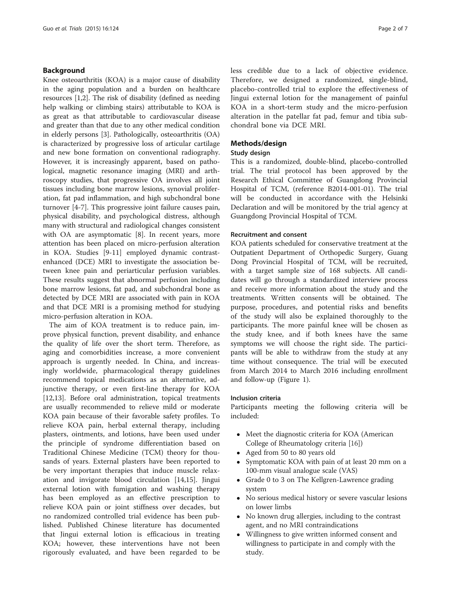## Background

Knee osteoarthritis (KOA) is a major cause of disability in the aging population and a burden on healthcare resources [[1,2\]](#page-5-0). The risk of disability (defined as needing help walking or climbing stairs) attributable to KOA is as great as that attributable to cardiovascular disease and greater than that due to any other medical condition in elderly persons [[3](#page-5-0)]. Pathologically, osteoarthritis (OA) is characterized by progressive loss of articular cartilage and new bone formation on conventional radiography. However, it is increasingly apparent, based on pathological, magnetic resonance imaging (MRI) and arthroscopy studies, that progressive OA involves all joint tissues including bone marrow lesions, synovial proliferation, fat pad inflammation, and high subchondral bone turnover [\[4](#page-5-0)-[7\]](#page-5-0). This progressive joint failure causes pain, physical disability, and psychological distress, although many with structural and radiological changes consistent with OA are asymptomatic [[8\]](#page-5-0). In recent years, more attention has been placed on micro-perfusion alteration in KOA. Studies [[9](#page-5-0)-[11\]](#page-5-0) employed dynamic contrastenhanced (DCE) MRI to investigate the association between knee pain and periarticular perfusion variables. These results suggest that abnormal perfusion including bone marrow lesions, fat pad, and subchondral bone as detected by DCE MRI are associated with pain in KOA and that DCE MRI is a promising method for studying micro-perfusion alteration in KOA.

The aim of KOA treatment is to reduce pain, improve physical function, prevent disability, and enhance the quality of life over the short term. Therefore, as aging and comorbidities increase, a more convenient approach is urgently needed. In China, and increasingly worldwide, pharmacological therapy guidelines recommend topical medications as an alternative, adjunctive therapy, or even first-line therapy for KOA [[12,13\]](#page-5-0). Before oral administration, topical treatments are usually recommended to relieve mild or moderate KOA pain because of their favorable safety profiles. To relieve KOA pain, herbal external therapy, including plasters, ointments, and lotions, have been used under the principle of syndrome differentiation based on Traditional Chinese Medicine (TCM) theory for thousands of years. External plasters have been reported to be very important therapies that induce muscle relaxation and invigorate blood circulation [[14](#page-5-0),[15](#page-5-0)]. Jingui external lotion with fumigation and washing therapy has been employed as an effective prescription to relieve KOA pain or joint stiffness over decades, but no randomized controlled trial evidence has been published. Published Chinese literature has documented that Jingui external lotion is efficacious in treating KOA; however, these interventions have not been rigorously evaluated, and have been regarded to be less credible due to a lack of objective evidence. Therefore, we designed a randomized, single-blind, placebo-controlled trial to explore the effectiveness of Jingui external lotion for the management of painful KOA in a short-term study and the micro-perfusion alteration in the patellar fat pad, femur and tibia subchondral bone via DCE MRI.

## Methods/design

## Study design

This is a randomized, double-blind, placebo-controlled trial. The trial protocol has been approved by the Research Ethical Committee of Guangdong Provincial Hospital of TCM, (reference B2014-001-01). The trial will be conducted in accordance with the Helsinki Declaration and will be monitored by the trial agency at Guangdong Provincial Hospital of TCM.

#### Recruitment and consent

KOA patients scheduled for conservative treatment at the Outpatient Department of Orthopedic Surgery, Guang Dong Provincial Hospital of TCM, will be recruited, with a target sample size of 168 subjects. All candidates will go through a standardized interview process and receive more information about the study and the treatments. Written consents will be obtained. The purpose, procedures, and potential risks and benefits of the study will also be explained thoroughly to the participants. The more painful knee will be chosen as the study knee, and if both knees have the same symptoms we will choose the right side. The participants will be able to withdraw from the study at any time without consequence. The trial will be executed from March 2014 to March 2016 including enrollment and follow-up (Figure [1\)](#page-2-0).

#### Inclusion criteria

Participants meeting the following criteria will be included:

- Meet the diagnostic criteria for KOA (American College of Rheumatology criteria [\[16\]](#page-5-0))
- Aged from 50 to 80 years old
- Symptomatic KOA with pain of at least 20 mm on a 100-mm visual analogue scale (VAS)
- Grade 0 to 3 on The Kellgren-Lawrence grading system
- No serious medical history or severe vascular lesions on lower limbs
- No known drug allergies, including to the contrast agent, and no MRI contraindications
- Willingness to give written informed consent and willingness to participate in and comply with the study.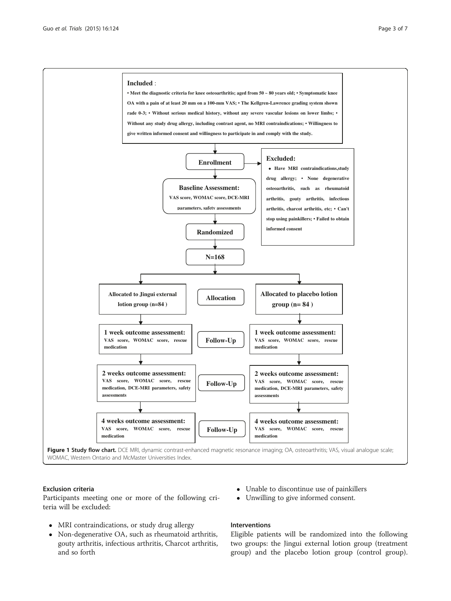<span id="page-2-0"></span>

#### Exclusion criteria

Participants meeting one or more of the following criteria will be excluded:

- MRI contraindications, or study drug allergy
- Non-degenerative OA, such as rheumatoid arthritis, gouty arthritis, infectious arthritis, Charcot arthritis, and so forth

## Unable to discontinue use of painkillers

Unwilling to give informed consent.

## Interventions

Eligible patients will be randomized into the following two groups: the Jingui external lotion group (treatment group) and the placebo lotion group (control group).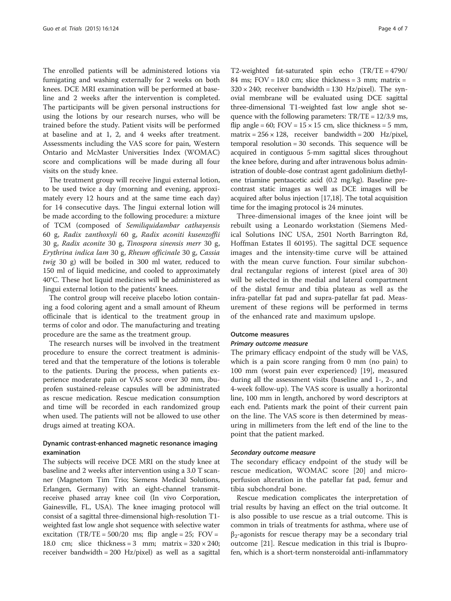The enrolled patients will be administered lotions via fumigating and washing externally for 2 weeks on both knees. DCE MRI examination will be performed at baseline and 2 weeks after the intervention is completed. The participants will be given personal instructions for using the lotions by our research nurses, who will be trained before the study. Patient visits will be performed at baseline and at 1, 2, and 4 weeks after treatment. Assessments including the VAS score for pain, Western Ontario and McMaster Universities Index (WOMAC) score and complications will be made during all four visits on the study knee.

The treatment group will receive Jingui external lotion, to be used twice a day (morning and evening, approximately every 12 hours and at the same time each day) for 14 consecutive days. The Jingui external lotion will be made according to the following procedure: a mixture of TCM (composed of Semiliquidambar cathayensis 60 g, Radix zanthoxyli 60 g, Radix aconiti kusenzoffii 30 g, Radix aconite 30 g, Tinospora sinensis merr 30 g, Erythrina indica lam 30 g, Rheum officinale 30 g, Cassia twig 30 g) will be boiled in 300 ml water, reduced to 150 ml of liquid medicine, and cooled to approximately 40°C. These hot liquid medicines will be administered as Jingui external lotion to the patients' knees.

The control group will receive placebo lotion containing a food coloring agent and a small amount of Rheum officinale that is identical to the treatment group in terms of color and odor. The manufacturing and treating procedure are the same as the treatment group.

The research nurses will be involved in the treatment procedure to ensure the correct treatment is administered and that the temperature of the lotions is tolerable to the patients. During the process, when patients experience moderate pain or VAS score over 30 mm, ibuprofen sustained-release capsules will be administrated as rescue medication. Rescue medication consumption and time will be recorded in each randomized group when used. The patients will not be allowed to use other drugs aimed at treating KOA.

## Dynamic contrast-enhanced magnetic resonance imaging examination

The subjects will receive DCE MRI on the study knee at baseline and 2 weeks after intervention using a 3.0 T scanner (Magnetom Tim Trio; Siemens Medical Solutions, Erlangen, Germany) with an eight-channel transmitreceive phased array knee coil (In vivo Corporation, Gainesville, FL, USA). The knee imaging protocol will consist of a sagittal three-dimensional high-resolution T1 weighted fast low angle shot sequence with selective water excitation  $(TR/TE = 500/20$  ms; flip angle = 25; FOV = 18.0 cm; slice thickness = 3 mm; matrix =  $320 \times 240$ ; receiver bandwidth = 200 Hz/pixel) as well as a sagittal

T2-weighted fat-saturated spin echo (TR/TE = 4790/ 84 ms;  $FOV = 18.0$  cm; slice thickness = 3 mm; matrix =  $320 \times 240$ ; receiver bandwidth = 130 Hz/pixel). The synovial membrane will be evaluated using DCE sagittal three-dimensional T1-weighted fast low angle shot sequence with the following parameters: TR/TE = 12/3.9 ms, flip angle = 60;  $FOV = 15 \times 15$  cm, slice thickness = 5 mm, matrix =  $256 \times 128$ , receiver bandwidth = 200 Hz/pixel, temporal resolution = 30 seconds. This sequence will be acquired in contiguous 5-mm sagittal slices throughout the knee before, during and after intravenous bolus administration of double-dose contrast agent gadolinium diethylene triamine pentaacetic acid (0.2 mg/kg). Baseline precontrast static images as well as DCE images will be acquired after bolus injection [\[17,18](#page-5-0)]. The total acquisition time for the imaging protocol is 24 minutes.

Three-dimensional images of the knee joint will be rebuilt using a Leonardo workstation (Siemens Medical Solutions INC USA, 2501 North Barrington Rd, Hoffman Estates Il 60195). The sagittal DCE sequence images and the intensity-time curve will be attained with the mean curve function. Four similar subchondral rectangular regions of interest (pixel area of 30) will be selected in the medial and lateral compartment of the distal femur and tibia plateau as well as the infra-patellar fat pad and supra-patellar fat pad. Measurement of these regions will be performed in terms of the enhanced rate and maximum upslope.

#### Outcome measures

#### Primary outcome measure

The primary efficacy endpoint of the study will be VAS, which is a pain score ranging from 0 mm (no pain) to 100 mm (worst pain ever experienced) [\[19](#page-5-0)], measured during all the assessment visits (baseline and 1-, 2-, and 4-week follow-up). The VAS score is usually a horizontal line, 100 mm in length, anchored by word descriptors at each end. Patients mark the point of their current pain on the line. The VAS score is then determined by measuring in millimeters from the left end of the line to the point that the patient marked.

#### Secondary outcome measure

The secondary efficacy endpoint of the study will be rescue medication, WOMAC score [[20](#page-5-0)] and microperfusion alteration in the patellar fat pad, femur and tibia subchondral bone.

Rescue medication complicates the interpretation of trial results by having an effect on the trial outcome. It is also possible to use rescue as a trial outcome. This is common in trials of treatments for asthma, where use of  $\beta_2$ -agonists for rescue therapy may be a secondary trial outcome [[21\]](#page-5-0). Rescue medication in this trial is Ibuprofen, which is a short-term nonsteroidal anti-inflammatory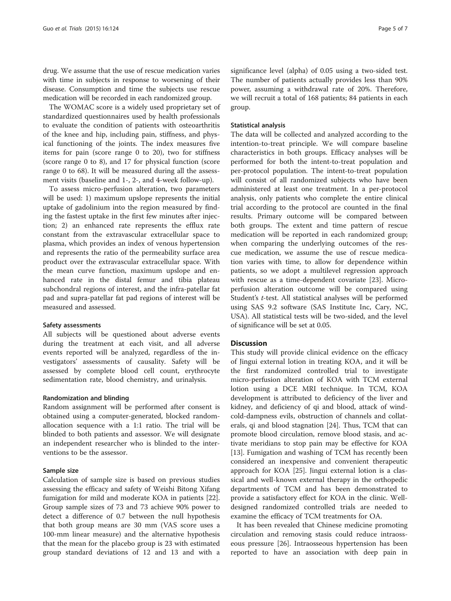drug. We assume that the use of rescue medication varies with time in subjects in response to worsening of their disease. Consumption and time the subjects use rescue medication will be recorded in each randomized group.

The WOMAC score is a widely used proprietary set of standardized questionnaires used by health professionals to evaluate the condition of patients with osteoarthritis of the knee and hip, including pain, stiffness, and physical functioning of the joints. The index measures five items for pain (score range 0 to 20), two for stiffness (score range 0 to 8), and 17 for physical function (score range 0 to 68). It will be measured during all the assessment visits (baseline and 1-, 2-, and 4-week follow-up).

To assess micro-perfusion alteration, two parameters will be used: 1) maximum upslope represents the initial uptake of gadolinium into the region measured by finding the fastest uptake in the first few minutes after injection; 2) an enhanced rate represents the efflux rate constant from the extravascular extracellular space to plasma, which provides an index of venous hypertension and represents the ratio of the permeability surface area product over the extravascular extracellular space. With the mean curve function, maximum upslope and enhanced rate in the distal femur and tibia plateau subchondral regions of interest, and the infra-patellar fat pad and supra-patellar fat pad regions of interest will be measured and assessed.

#### Safety assessments

All subjects will be questioned about adverse events during the treatment at each visit, and all adverse events reported will be analyzed, regardless of the investigators' assessments of causality. Safety will be assessed by complete blood cell count, erythrocyte sedimentation rate, blood chemistry, and urinalysis.

#### Randomization and blinding

Random assignment will be performed after consent is obtained using a computer-generated, blocked randomallocation sequence with a 1:1 ratio. The trial will be blinded to both patients and assessor. We will designate an independent researcher who is blinded to the interventions to be the assessor.

#### Sample size

Calculation of sample size is based on previous studies assessing the efficacy and safety of Weishi Bitong Xifang fumigation for mild and moderate KOA in patients [\[22](#page-5-0)]. Group sample sizes of 73 and 73 achieve 90% power to detect a difference of 0.7 between the null hypothesis that both group means are 30 mm (VAS score uses a 100-mm linear measure) and the alternative hypothesis that the mean for the placebo group is 23 with estimated group standard deviations of 12 and 13 and with a significance level (alpha) of 0.05 using a two-sided test. The number of patients actually provides less than 90% power, assuming a withdrawal rate of 20%. Therefore, we will recruit a total of 168 patients; 84 patients in each group.

#### Statistical analysis

The data will be collected and analyzed according to the intention-to-treat principle. We will compare baseline characteristics in both groups. Efficacy analyses will be performed for both the intent-to-treat population and per-protocol population. The intent-to-treat population will consist of all randomized subjects who have been administered at least one treatment. In a per-protocol analysis, only patients who complete the entire clinical trial according to the protocol are counted in the final results. Primary outcome will be compared between both groups. The extent and time pattern of rescue medication will be reported in each randomized group; when comparing the underlying outcomes of the rescue medication, we assume the use of rescue medication varies with time, to allow for dependence within patients, so we adopt a multilevel regression approach with rescue as a time-dependent covariate [[23\]](#page-5-0). Microperfusion alteration outcome will be compared using Student's t-test. All statistical analyses will be performed using SAS 9.2 software (SAS Institute Inc, Cary, NC, USA). All statistical tests will be two-sided, and the level of significance will be set at 0.05.

#### **Discussion**

This study will provide clinical evidence on the efficacy of Jingui external lotion in treating KOA, and it will be the first randomized controlled trial to investigate micro-perfusion alteration of KOA with TCM external lotion using a DCE MRI technique. In TCM, KOA development is attributed to deficiency of the liver and kidney, and deficiency of qi and blood, attack of windcold-dampness evils, obstruction of channels and collaterals, qi and blood stagnation [\[24](#page-5-0)]. Thus, TCM that can promote blood circulation, remove blood stasis, and activate meridians to stop pain may be effective for KOA [[13\]](#page-5-0). Fumigation and washing of TCM has recently been considered an inexpensive and convenient therapeutic approach for KOA [\[25\]](#page-5-0). Jingui external lotion is a classical and well-known external therapy in the orthopedic departments of TCM and has been demonstrated to provide a satisfactory effect for KOA in the clinic. Welldesigned randomized controlled trials are needed to examine the efficacy of TCM treatments for OA.

It has been revealed that Chinese medicine promoting circulation and removing stasis could reduce intraosseous pressure [\[26](#page-6-0)]. Intraosseous hypertension has been reported to have an association with deep pain in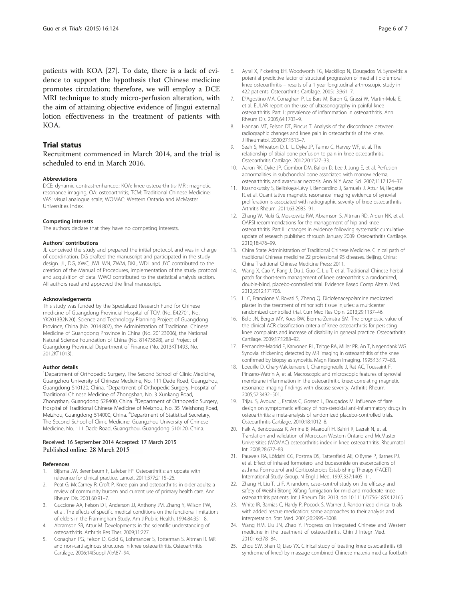<span id="page-5-0"></span>patients with KOA [[27](#page-6-0)]. To date, there is a lack of evidence to support the hypothesis that Chinese medicine promotes circulation; therefore, we will employ a DCE MRI technique to study micro-perfusion alteration, with the aim of attaining objective evidence of Jingui external lotion effectiveness in the treatment of patients with KOA.

## Trial status

Recruitment commenced in March 2014, and the trial is scheduled to end in March 2016.

#### Abbreviations

DCE: dynamic contrast-enhanced; KOA: knee osteoarthritis; MRI: magnetic resonance imaging; OA: osteoarthritis; TCM: Traditional Chinese Medicine; VAS: visual analogue scale; WOMAC: Western Ontario and McMaster Universities Index.

#### Competing interests

The authors declare that they have no competing interests.

#### Authors' contributions

JL conceived the study and prepared the initial protocol, and was in charge of coordination. DG drafted the manuscript and participated in the study design. JL, DG, XWC, JWL WN, ZWM, DKL, WDL and JYC contributed to the creation of the Manual of Procedures, implementation of the study protocol and acquisition of data. WWO contributed to the statistical analysis section. All authors read and approved the final manuscript.

#### Acknowledgements

This study was funded by the Specialized Research Fund for Chinese medicine of Guangdong Provincial Hospital of TCM (No. E42701, No. YK2013B2N20), Science and Technology Planning Project of Guangdong Province, China (No. 2014.807), the Administration of Traditional Chinese Medicine of Guangdong Province in China (No. 20123006), the National Natural Science Foundation of China (No. 81473698), and Project of Guangdong Provincial Department of Finance (No. 2013KT1493, No. 2012KT1013).

#### Author details

<sup>1</sup>Department of Orthopedic Surgery, The Second School of Clinic Medicine, Guangzhou University of Chinese Medicine, No. 111 Dade Road, Guangzhou, Guangdong 510120, China. <sup>2</sup>Department of Orthopedic Surgery, Hospital of Traditional Chinese Medicine of Zhongshan, No. 3 Xunkang Road, Zhongshan, Guangdong 528400, China. <sup>3</sup>Department of Orthopedic Surgery, Hospital of Traditional Chinese Medicine of Meizhou, No. 35 Meishong Road, Meizhou, Guangdong 514000, China. <sup>4</sup>Department of Statistical Secretary, The Second School of Clinic Medicine, Guangzhou University of Chinese Medicine, No. 111 Dade Road, Guangzhou, Guangdong 510120, China.

#### Received: 16 September 2014 Accepted: 17 March 2015 Published online: 28 March 2015

#### References

- 1. Bijlsma JW, Berenbaum F, Lafeber FP. Osteoarthritis: an update with relevance for clinical practice. Lancet. 2011;377:2115–26.
- Peat G, McCarney R, Croft P. Knee pain and osteoarthritis in older adults: a review of community burden and current use of primary health care. Ann Rheum Dis. 2001;60:91–7.
- 3. Guccione AA, Felson DT, Anderson JJ, Anthony JM, Zhang Y, Wilson PW, et al. The effects of specific medical conditions on the functional limitations of elders in the Framingham Study. Am J Public Health. 1994;84:351–8.
- 4. Abramson SB, Attur M. Developments in the scientific understanding of osteoarthritis. Arthritis Res Ther. 2009;11:227.
- 5. Conaghan PG, Felson D, Gold G, Lohmander S, Totterman S, Altman R. MRI and non-cartilaginous structures in knee osteoarthritis. Osteoarthritis Cartilage. 2006;14(Suppl A):A87–94.
- 6. Ayral X, Pickering EH, Woodworth TG, Mackillop N, Dougados M. Synovitis: a potential predictive factor of structural progression of medial tibiofemoral knee osteoarthritis – results of a 1 year longitudinal arthroscopic study in 422 patients. Osteoarthritis Cartilage. 2005;13:361–7.
- 7. D'Agostino MA, Conaghan P, Le Bars M, Baron G, Grassi W, Martin-Mola E, et al. EULAR report on the use of ultrasonography in painful knee osteoarthritis. Part 1: prevalence of inflammation in osteoarthritis. Ann Rheum Dis. 2005;64:1703–9.
- 8. Hannan MT, Felson DT, Pincus T. Analysis of the discordance between radiographic changes and knee pain in osteoarthritis of the knee. J Rheumatol. 2000;27:1513–7.
- 9. Seah S, Wheaton D, Li L, Dyke JP, Talmo C, Harvey WF, et al. The relationship of tibial bone perfusion to pain in knee osteoarthritis. Osteoarthritis Cartilage. 2012;20:1527–33.
- 10. Aaron RK, Dyke JP, Ciombor DM, Ballon D, Lee J, Jung E, et al. Perfusion abnormalities in subchondral bone associated with marrow edema, osteoarthritis, and avascular necrosis. Ann N Y Acad Sci. 2007;1117:124–37.
- 11. Krasnokutsky S, Belitskaya-Lévy I, Bencardino J, Samuels J, Attur M, Regatte R, et al. Quantitative magnetic resonance imaging evidence of synovial proliferation is associated with radiographic severity of knee osteoarthritis. Arthritis Rheum. 2011;63:2983–91.
- 12. Zhang W, Nuki G, Moskowitz RW, Abramson S, Altman RD, Arden NK, et al. OARSI recommendations for the management of hip and knee osteoarthritis. Part III: changes in evidence following systematic cumulative update of research published through January 2009. Osteoarthritis Cartilage. 2010;18:476–99.
- 13. China State Administration of Traditional Chinese Medicine. Clinical path of traditional Chinese medicine 22 professional 95 diseases. Beijing, China: China Traditional Chinese Medicine Press; 2011.
- 14. Wang X, Cao Y, Pang J, Du J, Guo C, Liu T, et al. Traditional Chinese herbal patch for short-term management of knee osteoarthritis: a randomized, double-blind, placebo-controlled trial. Evidence Based Comp Altern Med. 2012;2012:171706.
- 15. Li C, Frangione V, Rovati S, Zheng Q. Diclofenacepolamine medicated plaster in the treatment of minor soft tissue injuries: a multicenter randomized controlled trial. Curr Med Res Opin. 2013;29:1137–46.
- 16. Belo JN, Berger MY, Koes BW, Bierma-Zeinstra SM. The prognostic value of the clinical ACR classification criteria of knee osteoarthritis for persisting knee complaints and increase of disability in general practice. Osteoarthritis Cartilage. 2009;17:1288–92.
- 17. Fernandez-Madrid F, Karvonen RL, Teitge RA, Miller PR, An T, Negendank WG. Synovial thickening detected by MR imaging in osteoarthritis of the knee confirmed by biopsy as synovitis. Magn Reson Imaging. 1995;13:177–83.
- 18. Loeuille D, Chary-Valckenaere I, Champigneulle J, Rat AC, Toussaint F, Pinzano-Watrin A, et al. Macroscopic and microscopic features of synovial membrane inflammation in the osteoarthritic knee: correlating magnetic resonance imaging findings with disease severity. Arthritis Rheum. 2005;52:3492–501.
- 19. Trijau S, Avouac J, Escalas C, Gossec L, Dougados M. Influence of flare design on symptomatic efficacy of non-steroidal anti-inflammatory drugs in osteoarthritis: a meta-analysis of randomized placebo-controlled trials. Osteoarthritis Cartilage. 2010;18:1012–8.
- 20. Faik A, Benbouazza K, Amine B, Maaroufi H, Bahiri R, Lazrak N, et al. Translation and validation of Moroccan Western Ontario and McMaster Universities (WOMAC) osteoarthritis index in knee osteoarthritis. Rheumatol Int. 2008;28:677–83.
- 21. Pauwels RA, Löfdahl CG, Postma DS, Tattersfield AE, O'Byrne P, Barnes PJ, et al. Effect of inhaled formoterol and budesonide on exacerbations of asthma. Formoterol and Corticosteroids Establishing Therapy (FACET) International Study Group. N Engl J Med. 1997;337:1405–11.
- 22. Zhang H, Liu T, Li F. A random, case–control study on the efficacy and safety of Weishi Bitong Xifang fumigation for mild and moderate knee osteoarthritis patients. Int J Rheum Dis. 2013. doi:10.1111/1756-185X.12165
- 23. White IR, Bamias C, Hardy P, Pocock S, Warner J. Randomized clinical trials with added rescue medication: some approaches to their analysis and interpretation. Stat Med. 2001;20:2995–3008.
- 24. Wang HM, Liu JN, Zhao Y. Progress on integrated Chinese and Western medicine in the treatment of osteoarthritis. Chin J Integr Med. 2010;16:378–84.
- 25. Zhou SW, Shen Q, Liao YX. Clinical study of treating knee osteoarthritis (Bi syndrome of knee) by massage combined Chinese materia medica footbath